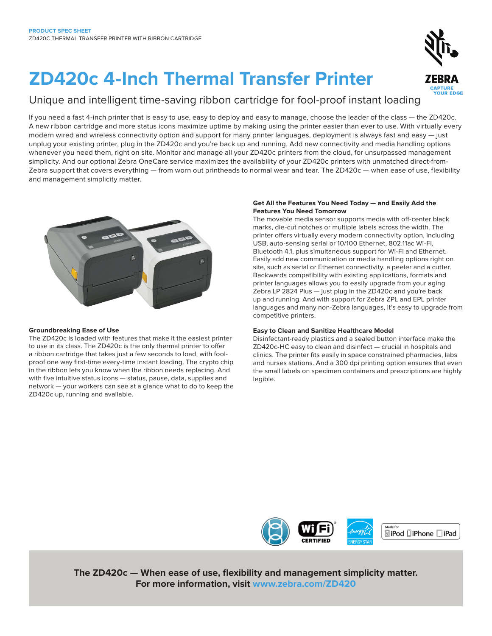# **ZD420c 4-Inch Thermal Transfer Printer**

### Unique and intelligent time-saving ribbon cartridge for fool-proof instant loading

If you need a fast 4-inch printer that is easy to use, easy to deploy and easy to manage, choose the leader of the class — the ZD420c. A new ribbon cartridge and more status icons maximize uptime by making using the printer easier than ever to use. With virtually every modern wired and wireless connectivity option and support for many printer languages, deployment is always fast and easy — just unplug your existing printer, plug in the ZD420c and you're back up and running. Add new connectivity and media handling options whenever you need them, right on site. Monitor and manage all your ZD420c printers from the cloud, for unsurpassed management simplicity. And our optional Zebra OneCare service maximizes the availability of your ZD420c printers with unmatched direct-from-Zebra support that covers everything — from worn out printheads to normal wear and tear. The ZD420c — when ease of use, flexibility and management simplicity matter.

#### **Groundbreaking Ease of Use**

The ZD420c is loaded with features that make it the easiest printer to use in its class. The ZD420c is the only thermal printer to offer a ribbon cartridge that takes just a few seconds to load, with foolproof one way first-time every-time instant loading. The crypto chip in the ribbon lets you know when the ribbon needs replacing. And with five intuitive status icons — status, pause, data, supplies and network — your workers can see at a glance what to do to keep the ZD420c up, running and available.

#### **Get All the Features You Need Today — and Easily Add the Features You Need Tomorrow**

The movable media sensor supports media with off-center black marks, die-cut notches or multiple labels across the width. The printer offers virtually every modern connectivity option, including USB, auto-sensing serial or 10/100 Ethernet, 802.11ac Wi-Fi, Bluetooth 4.1, plus simultaneous support for Wi-Fi and Ethernet. Easily add new communication or media handling options right on site, such as serial or Ethernet connectivity, a peeler and a cutter. Backwards compatibility with existing applications, formats and printer languages allows you to easily upgrade from your aging Zebra LP 2824 Plus — just plug in the ZD420c and you're back up and running. And with support for Zebra ZPL and EPL printer languages and many non-Zebra languages, it's easy to upgrade from competitive printers.

### **Easy to Clean and Sanitize Healthcare Model**

Disinfectant-ready plastics and a sealed button interface make the ZD420c-HC easy to clean and disinfect — crucial in hospitals and clinics. The printer fits easily in space constrained pharmacies, labs and nurses stations. And a 300 dpi printing option ensures that even the small labels on specimen containers and prescriptions are highly legible.



**The ZD420c — When ease of use, flexibility and management simplicity matter. For more information, visit [www.zebra.com/ZD420](http://www.zebra.com/ZD420)**





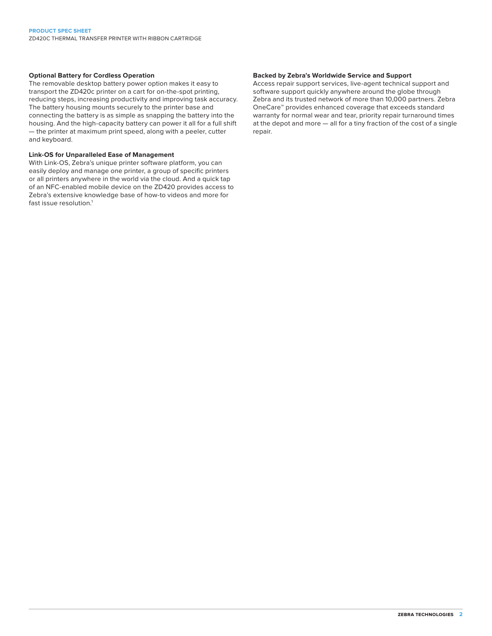### **Optional Battery for Cordless Operation**

The removable desktop battery power option makes it easy to transport the ZD420c printer on a cart for on-the-spot printing, reducing steps, increasing productivity and improving task accuracy. The battery housing mounts securely to the printer base and connecting the battery is as simple as snapping the battery into the housing. And the high-capacity battery can power it all for a full shift — the printer at maximum print speed, along with a peeler, cutter and keyboard.

#### **Link-OS for Unparalleled Ease of Management**

With Link-OS, Zebra's unique printer software platform, you can easily deploy and manage one printer, a group of specific printers or all printers anywhere in the world via the cloud. And a quick tap of an NFC-enabled mobile device on the ZD420 provides access to Zebra's extensive knowledge base of how-to videos and more for fast issue resolution.<sup>1</sup>

### **Backed by Zebra's Worldwide Service and Support**

Access repair support services, live-agent technical support and software support quickly anywhere around the globe through Zebra and its trusted network of more than 10,000 partners. Zebra OneCare™ provides enhanced coverage that exceeds standard warranty for normal wear and tear, priority repair turnaround times at the depot and more — all for a tiny fraction of the cost of a single repair.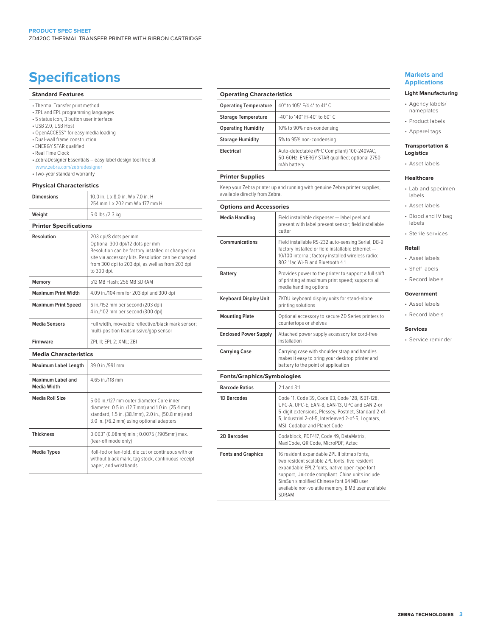## **Specifications Specifications Markets and**

#### **Standard Features**

- ZPL and EPL programming languages
- 5 status icon, 3 button user interface
- USB 2.0, USB Host
- OpenACCESS™ for easy media loading
- Dual-wall frame construction
- ENERGY STAR qualified
- Real Time Clock
- ZebraDesigner Essentials easy label design tool free at www.zebra.com/zebradesigner
- Two-year standard warranty

#### **Physical Characteristics**

| <b>Dimensions</b> | 10.0 in. L x 8.0 in. W x 7.0 in. H<br>254 mm L x 202 mm W x 177 mm H |
|-------------------|----------------------------------------------------------------------|
| Weight            | 5.0 lbs./2.3 kg                                                      |

### **Printer Specifications**

| Resolution                              | 203 dpi/8 dots per mm<br>Optional 300 dpi/12 dots per mm<br>Resolution can be factory installed or changed on<br>site via accessory kits. Resolution can be changed<br>from 300 dpi to 203 dpi, as well as from 203 dpi<br>to 300 dpi. |
|-----------------------------------------|----------------------------------------------------------------------------------------------------------------------------------------------------------------------------------------------------------------------------------------|
| Memory                                  | 512 MB Flash: 256 MB SDRAM                                                                                                                                                                                                             |
| <b>Maximum Print Width</b>              | 4.09 in./104 mm for 203 dpi and 300 dpi                                                                                                                                                                                                |
| <b>Maximum Print Speed</b>              | 6 in./152 mm per second (203 dpi)<br>4 in./102 mm per second (300 dpi)                                                                                                                                                                 |
| <b>Media Sensors</b>                    | Full width, moveable reflective/black mark sensor;<br>multi-position transmissive/gap sensor                                                                                                                                           |
| <b>Firmware</b>                         | ZPL II; EPL 2; XML; ZBI                                                                                                                                                                                                                |
| <b>Media Characteristics</b>            |                                                                                                                                                                                                                                        |
| <b>Maximum Label Length</b>             | 39.0 in /991 mm                                                                                                                                                                                                                        |
| Maximum Label and<br><b>Media Width</b> | 4.65 in /118 mm                                                                                                                                                                                                                        |
| <b>Media Roll Size</b>                  | 5.00 in /127 mm outer diameter Core inner<br>diameter: 0.5 in. (12.7 mm) and 1.0 in. (25.4 mm)<br>standard, 1.5 in. (38.1mm), 2.0 in., (50.8 mm) and<br>3.0 in. (76.2 mm) using optional adapters                                      |
| <b>Thickness</b>                        | 0.003" (0.08mm) min.; 0.0075 (.1905mm) max.<br>(tear-off mode only)                                                                                                                                                                    |
| <b>Media Types</b>                      | Roll-fed or fan-fold, die cut or continuous with or<br>without black mark, tag stock, continuous receipt<br>paper, and wristbands                                                                                                      |

| <b>Operating Characteristics</b>                                                                              |                                                                                                                                                                                                   |  |
|---------------------------------------------------------------------------------------------------------------|---------------------------------------------------------------------------------------------------------------------------------------------------------------------------------------------------|--|
| <b>Operating Temperature</b>                                                                                  | 40° to 105° F/4.4° to 41° C                                                                                                                                                                       |  |
| <b>Storage Temperature</b>                                                                                    | -40° to 140° F/-40° to 60° C                                                                                                                                                                      |  |
| <b>Operating Humidity</b>                                                                                     | 10% to 90% non-condensing                                                                                                                                                                         |  |
| <b>Storage Humidity</b>                                                                                       | 5% to 95% non-condensing                                                                                                                                                                          |  |
| Electrical                                                                                                    | Auto-detectable (PFC Compliant) 100-240VAC,<br>50-60Hz; ENERGY STAR qualified; optional 2750<br>mAh battery                                                                                       |  |
| <b>Printer Supplies</b>                                                                                       |                                                                                                                                                                                                   |  |
| Keep your Zebra printer up and running with genuine Zebra printer supplies,<br>available directly from Zebra. |                                                                                                                                                                                                   |  |
| <b>Options and Accessories</b>                                                                                |                                                                                                                                                                                                   |  |
| <b>Media Handling</b>                                                                                         | Field installable dispenser - label peel and<br>present with label present sensor; field installable<br>cutter                                                                                    |  |
| Communications                                                                                                | Field installable RS-232 auto-sensing Serial, DB-9<br>factory installed or field installable Ethernet -<br>10/100 internal; factory installed wireless radio:<br>802.11ac Wi-Fi and Bluetooth 4.1 |  |
| Battery                                                                                                       | Provides power to the printer to support a full shift<br>of printing at maximum print speed; supports all<br>media handling options                                                               |  |
| <b>Keyboard Display Unit</b>                                                                                  | ZKDU keyboard display units for stand-alone<br>printing solutions                                                                                                                                 |  |
| <b>Mounting Plate</b>                                                                                         | Optional accessory to secure ZD Series printers to<br>countertops or shelves                                                                                                                      |  |
| <b>Enclosed Power Supply</b>                                                                                  | Attached power supply accessory for cord-free<br>installation                                                                                                                                     |  |
| <b>Carrying Case</b>                                                                                          | Carrying case with shoulder strap and handles<br>makes it easy to bring your desktop printer and<br>battery to the point of application                                                           |  |

**Fonts/Graphics/Symbologies**

| <b>Barcode Ratios</b>     | 2:1 and 3:1                                                                                                                                                                                                                                                                                                  |
|---------------------------|--------------------------------------------------------------------------------------------------------------------------------------------------------------------------------------------------------------------------------------------------------------------------------------------------------------|
| <b>1D Barcodes</b>        | Code 11, Code 39, Code 93, Code 128, ISBT-128,<br>UPC-A, UPC-E, EAN-8, EAN-13, UPC and EAN 2-or<br>5-digit extensions, Plessey, Postnet, Standard 2-of-<br>5, Industrial 2-of-5, Interleaved 2-of-5, Logmars,<br>MSI, Codabar and Planet Code                                                                |
| <b>2D Barcodes</b>        | Codablock, PDF417, Code 49, DataMatrix,<br>MaxiCode, QR Code, MicroPDF, Aztec                                                                                                                                                                                                                                |
| <b>Fonts and Graphics</b> | 16 resident expandable ZPL II bitmap fonts,<br>two resident scalable ZPL fonts, five resident<br>expandable EPL2 fonts, native open-type font<br>support, Unicode compliant. China units include<br>SimSun simplified Chinese font 64 MB user<br>available non-volatile memory, 8 MB user available<br>SDRAM |

## **Applications**

#### **Light Manufacturing**

- Agency labels/ nameplates
- Product labels
- Apparel tags

#### **Transportation & Logistics**

• Asset labels

#### **Healthcare**

- Lab and specimen labels
- Asset labels
- Blood and IV bag labels
- Sterile services

#### **Retail**

- Asset labels
- Shelf labels
- Record labels

#### **Government**

- Asset labels
- Record labels

#### **Services**

• Service reminder